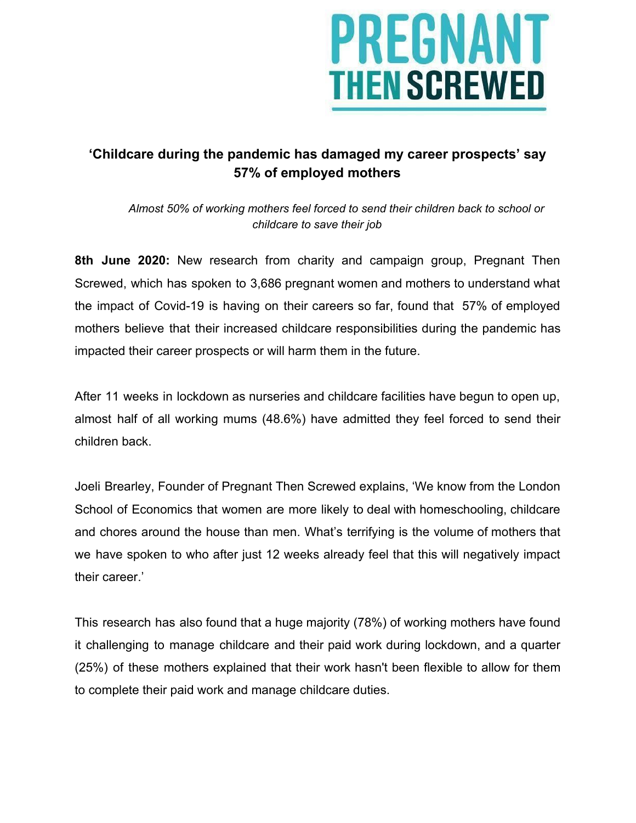

## **'Childcare during the pandemic has damaged my career prospects' say 57% of employed mothers**

*Almost 50% of working mothers feel forced to send their children back to school or childcare to save their job*

**8th June 2020:** New research from charity and campaign group, Pregnant Then Screwed, which has spoken to 3,686 pregnant women and mothers to understand what the impact of Covid-19 is having on their careers so far, found that 57% of employed mothers believe that their increased childcare responsibilities during the pandemic has impacted their career prospects or will harm them in the future.

After 11 weeks in lockdown as nurseries and childcare facilities have begun to open up, almost half of all working mums (48.6%) have admitted they feel forced to send their children back.

Joeli Brearley, Founder of Pregnant Then Screwed explains, 'We know from the London School of Economics that women are more likely to deal with homeschooling, childcare and chores around the house than men. What's terrifying is the volume of mothers that we have spoken to who after just 12 weeks already feel that this will negatively impact their career.'

This research has also found that a huge majority (78%) of working mothers have found it challenging to manage childcare and their paid work during lockdown, and a quarter (25%) of these mothers explained that their work hasn't been flexible to allow for them to complete their paid work and manage childcare duties.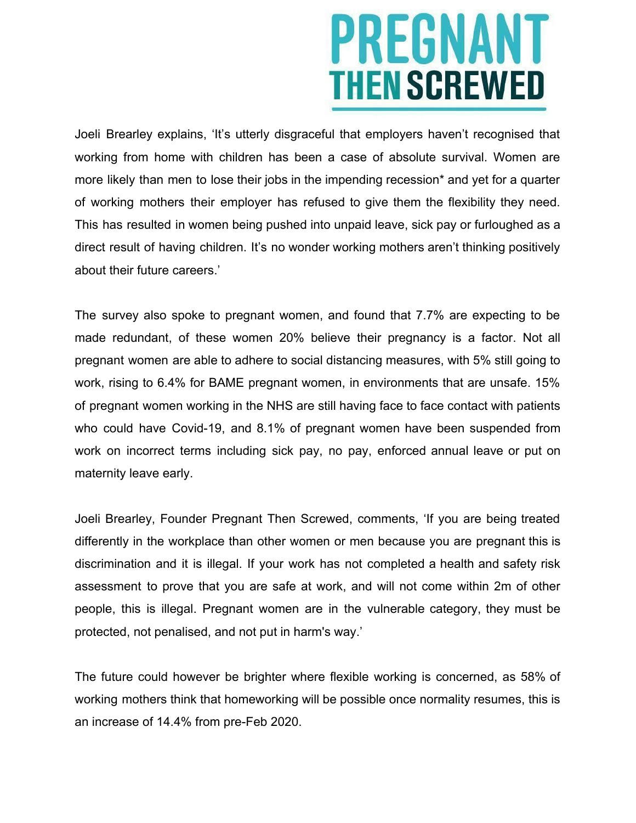# PREGNANT **THEN SCREWED**

Joeli Brearley explains, 'It's utterly disgraceful that employers haven't recognised that working from home with children has been a case of absolute survival. Women are more likely than men to lose their jobs in the impending recession\* and yet for a quarter of working mothers their employer has refused to give them the flexibility they need. This has resulted in women being pushed into unpaid leave, sick pay or furloughed as a direct result of having children. It's no wonder working mothers aren't thinking positively about their future careers.'

The survey also spoke to pregnant women, and found that 7.7% are expecting to be made redundant, of these women 20% believe their pregnancy is a factor. Not all pregnant women are able to adhere to social distancing measures, with 5% still going to work, rising to 6.4% for BAME pregnant women, in environments that are unsafe. 15% of pregnant women working in the NHS are still having face to face contact with patients who could have Covid-19, and 8.1% of pregnant women have been suspended from work on incorrect terms including sick pay, no pay, enforced annual leave or put on maternity leave early.

Joeli Brearley, Founder Pregnant Then Screwed, comments, 'If you are being treated differently in the workplace than other women or men because you are pregnant this is discrimination and it is illegal. If your work has not completed a health and safety risk assessment to prove that you are safe at work, and will not come within 2m of other people, this is illegal. Pregnant women are in the vulnerable category, they must be protected, not penalised, and not put in harm's way.'

The future could however be brighter where flexible working is concerned, as 58% of working mothers think that homeworking will be possible once normality resumes, this is an increase of 14.4% from pre-Feb 2020.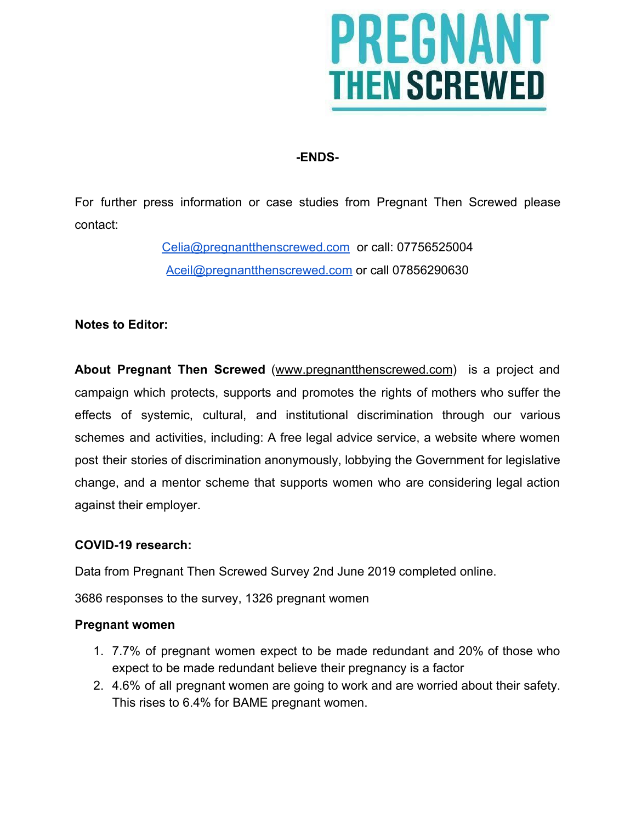

### **-ENDS-**

For further press information or case studies from Pregnant Then Screwed please contact:

> [Celia@pregnantthenscrewed.com](mailto:celia@pregnantthenscrewed.com) or call: 07756525004 [Aceil@pregnantthenscrewed.com](mailto:Aceil@pregnantthenscrewed.com) or call 07856290630

#### **Notes to Editor:**

**About Pregnant Then Screwed** ([www.pregnantthenscrewed.com\)](http://www.pregnantthenscrewed.com/) is a project and campaign which protects, supports and promotes the rights of mothers who suffer the effects of systemic, cultural, and institutional discrimination through our various schemes and activities, including: A free legal advice service, a website where women post their stories of discrimination anonymously, lobbying the Government for legislative change, and a mentor scheme that supports women who are considering legal action against their employer.

#### **COVID-19 research:**

Data from Pregnant Then Screwed Survey 2nd June 2019 completed online.

3686 responses to the survey, 1326 pregnant women

#### **Pregnant women**

- 1. 7.7% of pregnant women expect to be made redundant and 20% of those who expect to be made redundant believe their pregnancy is a factor
- 2. 4.6% of all pregnant women are going to work and are worried about their safety. This rises to 6.4% for BAME pregnant women.